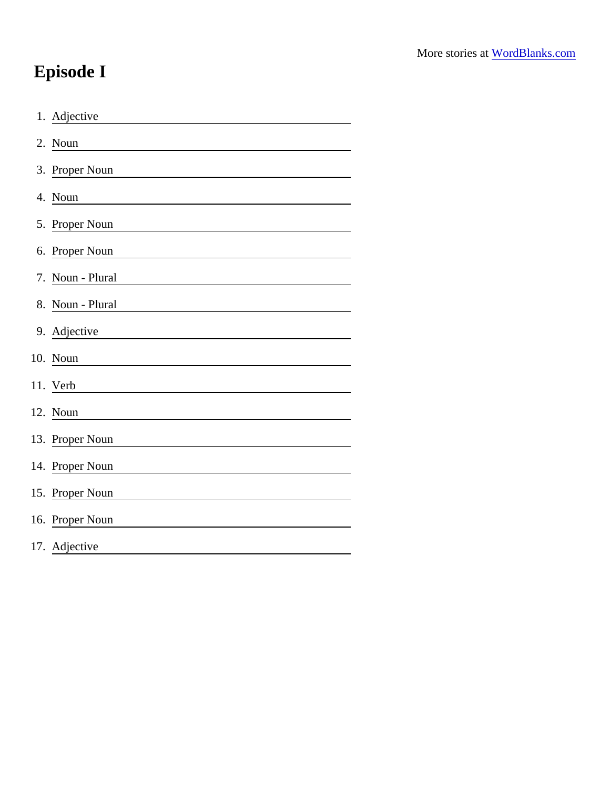## Episode I

| 1. Adjective                                                         |
|----------------------------------------------------------------------|
| 2. Noun                                                              |
| 3. Proper Noun                                                       |
| 4. Noun                                                              |
| 5. Proper Noun                                                       |
| 6. Proper Noun                                                       |
| 7. Noun - Plural                                                     |
| 8. Noun - Plural                                                     |
| 9. Adjective                                                         |
| 10. Noun                                                             |
| 11. Verb                                                             |
| 12. Noun                                                             |
| 13. Proper Noun<br><u> 1989 - Johann Barbara, martxa alemaniar a</u> |
| 14. Proper Noun                                                      |
| 15. Proper Noun                                                      |
| 16. Proper Noun                                                      |
| 17. Adjective                                                        |